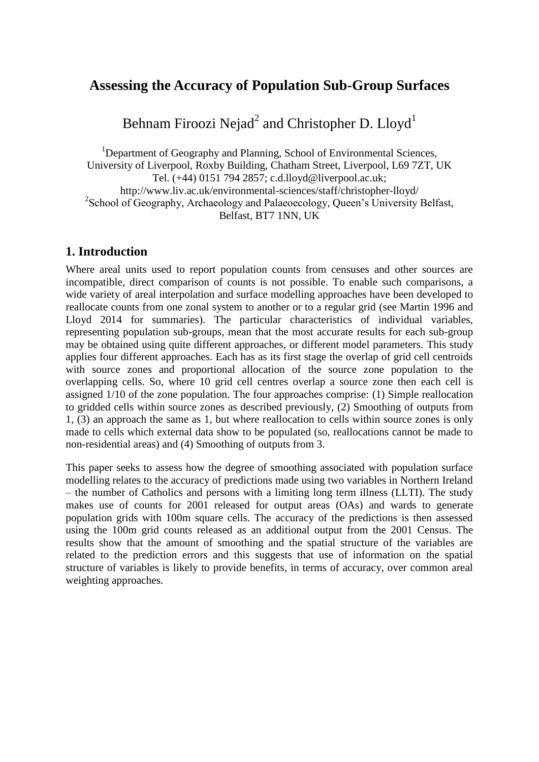# **Assessing the Accuracy of Population Sub-Group Surfaces**

Behnam Firoozi Nejad $^2$  and Christopher D. Lloyd $^1$ 

<sup>1</sup>Department of Geography and Planning, School of Environmental Sciences, University of Liverpool, Roxby Building, Chatham Street, Liverpool, L69 7ZT, UK Tel. (+44) 0151 794 2857; c.d.lloyd@liverpool.ac.uk; http://www.liv.ac.uk/environmental-sciences/staff/christopher-lloyd/ <sup>2</sup>School of Geography, Archaeology and Palaeoecology, Queen's University Belfast, Belfast, BT7 1NN, UK

## **1. Introduction**

Where areal units used to report population counts from censuses and other sources are incompatible, direct comparison of counts is not possible. To enable such comparisons, a wide variety of areal interpolation and surface modelling approaches have been developed to reallocate counts from one zonal system to another or to a regular grid (see Martin 1996 and Lloyd 2014 for summaries). The particular characteristics of individual variables, representing population sub-groups, mean that the most accurate results for each sub-group may be obtained using quite different approaches, or different model parameters. This study applies four different approaches. Each has as its first stage the overlap of grid cell centroids with source zones and proportional allocation of the source zone population to the overlapping cells. So, where 10 grid cell centres overlap a source zone then each cell is assigned 1/10 of the zone population. The four approaches comprise: (1) Simple reallocation to gridded cells within source zones as described previously, (2) Smoothing of outputs from 1, (3) an approach the same as 1, but where reallocation to cells within source zones is only made to cells which external data show to be populated (so, reallocations cannot be made to non-residential areas) and (4) Smoothing of outputs from 3.

This paper seeks to assess how the degree of smoothing associated with population surface modelling relates to the accuracy of predictions made using two variables in Northern Ireland – the number of Catholics and persons with a limiting long term illness (LLTI). The study makes use of counts for 2001 released for output areas (OAs) and wards to generate population grids with 100m square cells. The accuracy of the predictions is then assessed using the 100m grid counts released as an additional output from the 2001 Census. The results show that the amount of smoothing and the spatial structure of the variables are related to the prediction errors and this suggests that use of information on the spatial structure of variables is likely to provide benefits, in terms of accuracy, over common areal weighting approaches.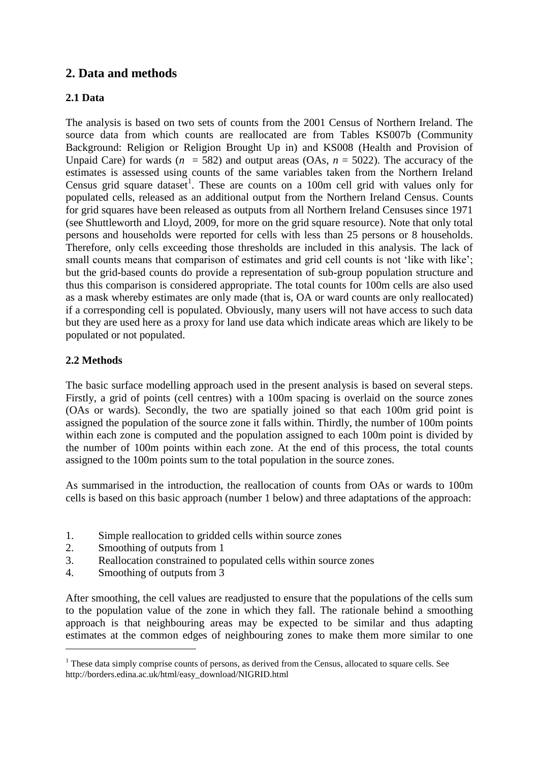## **2. Data and methods**

#### **2.1 Data**

The analysis is based on two sets of counts from the 2001 Census of Northern Ireland. The source data from which counts are reallocated are from Tables KS007b (Community Background: Religion or Religion Brought Up in) and KS008 (Health and Provision of Unpaid Care) for wards  $(n = 582)$  and output areas (OAs,  $n = 5022$ ). The accuracy of the estimates is assessed using counts of the same variables taken from the Northern Ireland Census grid square dataset<sup>1</sup>. These are counts on a 100m cell grid with values only for populated cells, released as an additional output from the Northern Ireland Census. Counts for grid squares have been released as outputs from all Northern Ireland Censuses since 1971 (see Shuttleworth and Lloyd, 2009, for more on the grid square resource). Note that only total persons and households were reported for cells with less than 25 persons or 8 households. Therefore, only cells exceeding those thresholds are included in this analysis. The lack of small counts means that comparison of estimates and grid cell counts is not 'like with like'; but the grid-based counts do provide a representation of sub-group population structure and thus this comparison is considered appropriate. The total counts for 100m cells are also used as a mask whereby estimates are only made (that is, OA or ward counts are only reallocated) if a corresponding cell is populated. Obviously, many users will not have access to such data but they are used here as a proxy for land use data which indicate areas which are likely to be populated or not populated.

#### **2.2 Methods**

 $\overline{a}$ 

The basic surface modelling approach used in the present analysis is based on several steps. Firstly, a grid of points (cell centres) with a 100m spacing is overlaid on the source zones (OAs or wards). Secondly, the two are spatially joined so that each 100m grid point is assigned the population of the source zone it falls within. Thirdly, the number of 100m points within each zone is computed and the population assigned to each 100m point is divided by the number of 100m points within each zone. At the end of this process, the total counts assigned to the 100m points sum to the total population in the source zones.

As summarised in the introduction, the reallocation of counts from OAs or wards to 100m cells is based on this basic approach (number 1 below) and three adaptations of the approach:

- 1. Simple reallocation to gridded cells within source zones
- 2. Smoothing of outputs from 1
- 3. Reallocation constrained to populated cells within source zones
- 4. Smoothing of outputs from 3

After smoothing, the cell values are readjusted to ensure that the populations of the cells sum to the population value of the zone in which they fall. The rationale behind a smoothing approach is that neighbouring areas may be expected to be similar and thus adapting estimates at the common edges of neighbouring zones to make them more similar to one

<sup>&</sup>lt;sup>1</sup> These data simply comprise counts of persons, as derived from the Census, allocated to square cells. See http://borders.edina.ac.uk/html/easy\_download/NIGRID.html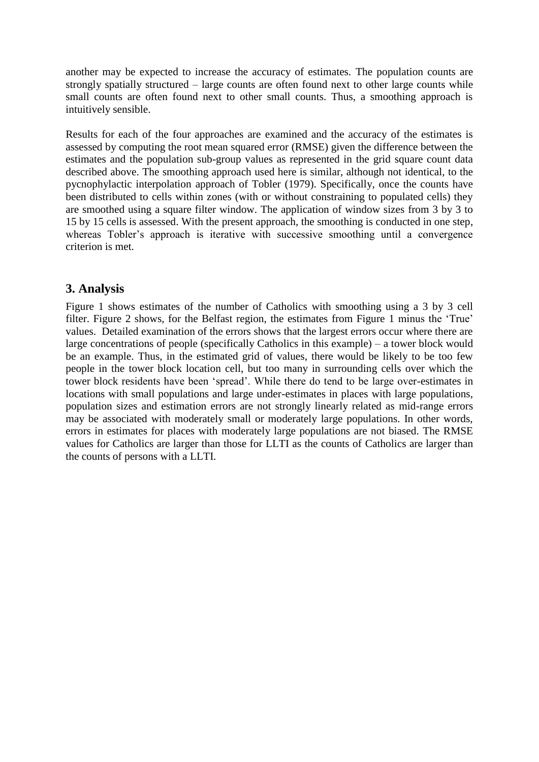another may be expected to increase the accuracy of estimates. The population counts are strongly spatially structured – large counts are often found next to other large counts while small counts are often found next to other small counts. Thus, a smoothing approach is intuitively sensible.

Results for each of the four approaches are examined and the accuracy of the estimates is assessed by computing the root mean squared error (RMSE) given the difference between the estimates and the population sub-group values as represented in the grid square count data described above. The smoothing approach used here is similar, although not identical, to the pycnophylactic interpolation approach of Tobler (1979). Specifically, once the counts have been distributed to cells within zones (with or without constraining to populated cells) they are smoothed using a square filter window. The application of window sizes from 3 by 3 to 15 by 15 cells is assessed. With the present approach, the smoothing is conducted in one step, whereas Tobler's approach is iterative with successive smoothing until a convergence criterion is met.

## **3. Analysis**

Figure 1 shows estimates of the number of Catholics with smoothing using a 3 by 3 cell filter. Figure 2 shows, for the Belfast region, the estimates from Figure 1 minus the 'True' values. Detailed examination of the errors shows that the largest errors occur where there are large concentrations of people (specifically Catholics in this example) – a tower block would be an example. Thus, in the estimated grid of values, there would be likely to be too few people in the tower block location cell, but too many in surrounding cells over which the tower block residents have been 'spread'. While there do tend to be large over-estimates in locations with small populations and large under-estimates in places with large populations, population sizes and estimation errors are not strongly linearly related as mid-range errors may be associated with moderately small or moderately large populations. In other words, errors in estimates for places with moderately large populations are not biased. The RMSE values for Catholics are larger than those for LLTI as the counts of Catholics are larger than the counts of persons with a LLTI.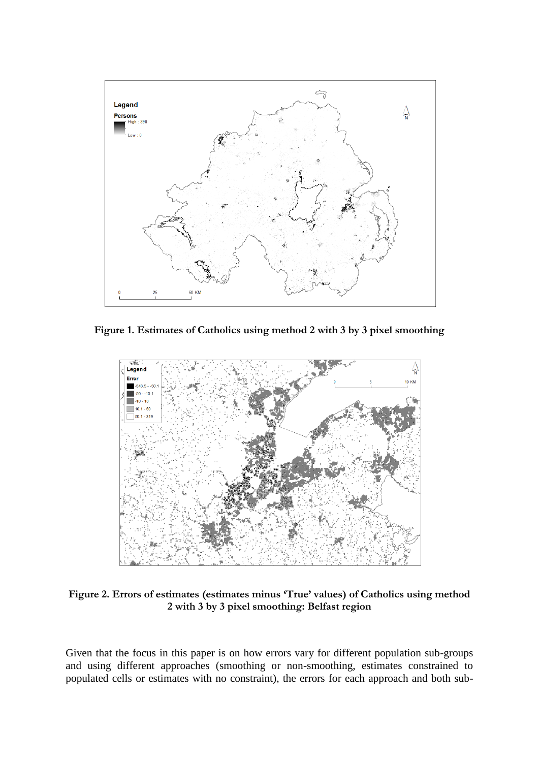

**Figure 1. Estimates of Catholics using method 2 with 3 by 3 pixel smoothing**



**Figure 2. Errors of estimates (estimates minus 'True' values) of Catholics using method 2 with 3 by 3 pixel smoothing: Belfast region**

Given that the focus in this paper is on how errors vary for different population sub-groups and using different approaches (smoothing or non-smoothing, estimates constrained to populated cells or estimates with no constraint), the errors for each approach and both sub-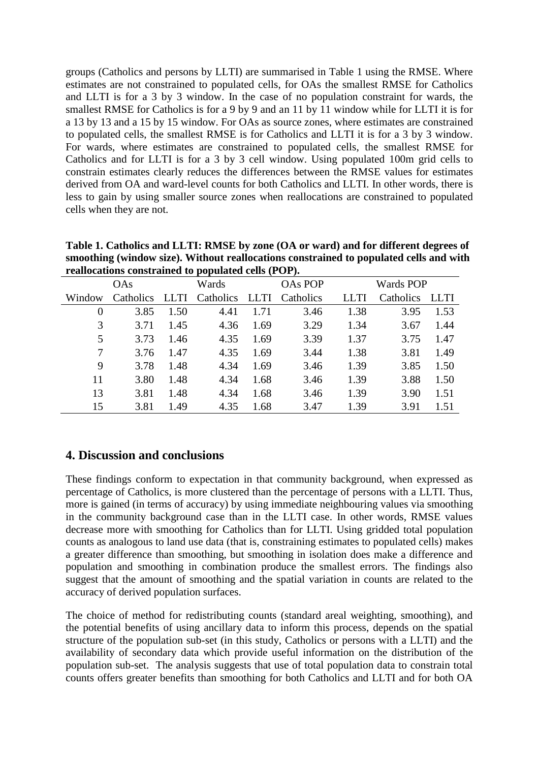groups (Catholics and persons by LLTI) are summarised in Table 1 using the RMSE. Where estimates are not constrained to populated cells, for OAs the smallest RMSE for Catholics and LLTI is for a 3 by 3 window. In the case of no population constraint for wards, the smallest RMSE for Catholics is for a 9 by 9 and an 11 by 11 window while for LLTI it is for a 13 by 13 and a 15 by 15 window. For OAs as source zones, where estimates are constrained to populated cells, the smallest RMSE is for Catholics and LLTI it is for a 3 by 3 window. For wards, where estimates are constrained to populated cells, the smallest RMSE for Catholics and for LLTI is for a 3 by 3 cell window. Using populated 100m grid cells to constrain estimates clearly reduces the differences between the RMSE values for estimates derived from OA and ward-level counts for both Catholics and LLTI. In other words, there is less to gain by using smaller source zones when reallocations are constrained to populated cells when they are not.

| reanocations constrained to populated cens (POP). |           |      |           |             |                |           |           |             |
|---------------------------------------------------|-----------|------|-----------|-------------|----------------|-----------|-----------|-------------|
| <b>OAs</b>                                        |           |      | Wards     |             | <b>OAs POP</b> | Wards POP |           |             |
| Window                                            | Catholics | LLTI | Catholics | <b>LLTI</b> | Catholics      | ЛI        | Catholics | <b>LLTI</b> |
| 0                                                 | 3.85      | 1.50 | 4.41      | 1.71        | 3.46           | 1.38      | 3.95      | 1.53        |
| 3                                                 | 3.71      | 1.45 | 4.36      | 1.69        | 3.29           | 1.34      | 3.67      | 1.44        |
| 5                                                 | 3.73      | 1.46 | 4.35      | 1.69        | 3.39           | 1.37      | 3.75      | 1.47        |
| 7                                                 | 3.76      | 1.47 | 4.35      | 1.69        | 3.44           | 1.38      | 3.81      | 1.49        |
| 9                                                 | 3.78      | 1.48 | 4.34      | 1.69        | 3.46           | 1.39      | 3.85      | 1.50        |
| 11                                                | 3.80      | 1.48 | 4.34      | 1.68        | 3.46           | 1.39      | 3.88      | 1.50        |
| 13                                                | 3.81      | 1.48 | 4.34      | 1.68        | 3.46           | 1.39      | 3.90      | 1.51        |
| 15                                                | 3.81      | 1.49 | 4.35      | 1.68        | 3.47           | 1.39      | 3.91      | 1.51        |

**Table 1. Catholics and LLTI: RMSE by zone (OA or ward) and for different degrees of smoothing (window size). Without reallocations constrained to populated cells and with really constrained to populate constrained constrained constrained constrained constrained constrained constrained** 

## **4. Discussion and conclusions**

These findings conform to expectation in that community background, when expressed as percentage of Catholics, is more clustered than the percentage of persons with a LLTI. Thus, more is gained (in terms of accuracy) by using immediate neighbouring values via smoothing in the community background case than in the LLTI case. In other words, RMSE values decrease more with smoothing for Catholics than for LLTI. Using gridded total population counts as analogous to land use data (that is, constraining estimates to populated cells) makes a greater difference than smoothing, but smoothing in isolation does make a difference and population and smoothing in combination produce the smallest errors. The findings also suggest that the amount of smoothing and the spatial variation in counts are related to the accuracy of derived population surfaces.

The choice of method for redistributing counts (standard areal weighting, smoothing), and the potential benefits of using ancillary data to inform this process, depends on the spatial structure of the population sub-set (in this study, Catholics or persons with a LLTI) and the availability of secondary data which provide useful information on the distribution of the population sub-set. The analysis suggests that use of total population data to constrain total counts offers greater benefits than smoothing for both Catholics and LLTI and for both OA